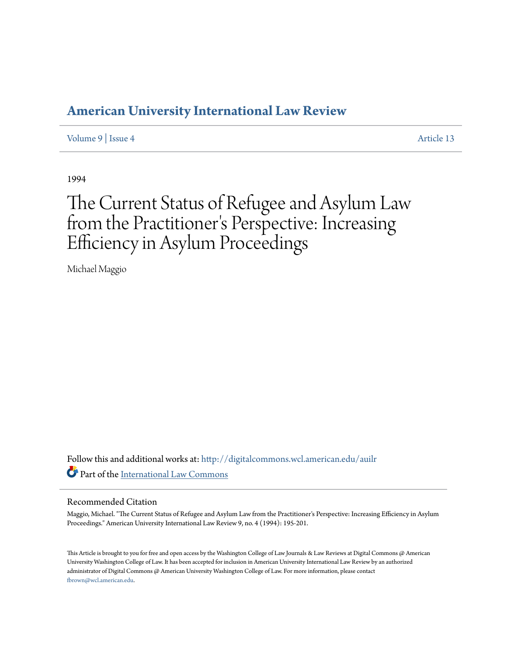## **[American University International Law Review](http://digitalcommons.wcl.american.edu/auilr?utm_source=digitalcommons.wcl.american.edu%2Fauilr%2Fvol9%2Fiss4%2F13&utm_medium=PDF&utm_campaign=PDFCoverPages)**

[Volume 9](http://digitalcommons.wcl.american.edu/auilr/vol9?utm_source=digitalcommons.wcl.american.edu%2Fauilr%2Fvol9%2Fiss4%2F13&utm_medium=PDF&utm_campaign=PDFCoverPages) | [Issue 4](http://digitalcommons.wcl.american.edu/auilr/vol9/iss4?utm_source=digitalcommons.wcl.american.edu%2Fauilr%2Fvol9%2Fiss4%2F13&utm_medium=PDF&utm_campaign=PDFCoverPages) [Article 13](http://digitalcommons.wcl.american.edu/auilr/vol9/iss4/13?utm_source=digitalcommons.wcl.american.edu%2Fauilr%2Fvol9%2Fiss4%2F13&utm_medium=PDF&utm_campaign=PDFCoverPages)

1994

# The Current Status of Refugee and Asylum Law from the Practitioner 's Perspective: Increasing Efficiency in Asylum Proceedings

Michael Maggio

Follow this and additional works at: [http://digitalcommons.wcl.american.edu/auilr](http://digitalcommons.wcl.american.edu/auilr?utm_source=digitalcommons.wcl.american.edu%2Fauilr%2Fvol9%2Fiss4%2F13&utm_medium=PDF&utm_campaign=PDFCoverPages) Part of the [International Law Commons](http://network.bepress.com/hgg/discipline/609?utm_source=digitalcommons.wcl.american.edu%2Fauilr%2Fvol9%2Fiss4%2F13&utm_medium=PDF&utm_campaign=PDFCoverPages)

### Recommended Citation

Maggio, Michael. "The Current Status of Refugee and Asylum Law from the Practitioner's Perspective: Increasing Efficiency in Asylum Proceedings." American University International Law Review 9, no. 4 (1994): 195-201.

This Article is brought to you for free and open access by the Washington College of Law Journals & Law Reviews at Digital Commons @ American University Washington College of Law. It has been accepted for inclusion in American University International Law Review by an authorized administrator of Digital Commons @ American University Washington College of Law. For more information, please contact [fbrown@wcl.american.edu](mailto:fbrown@wcl.american.edu).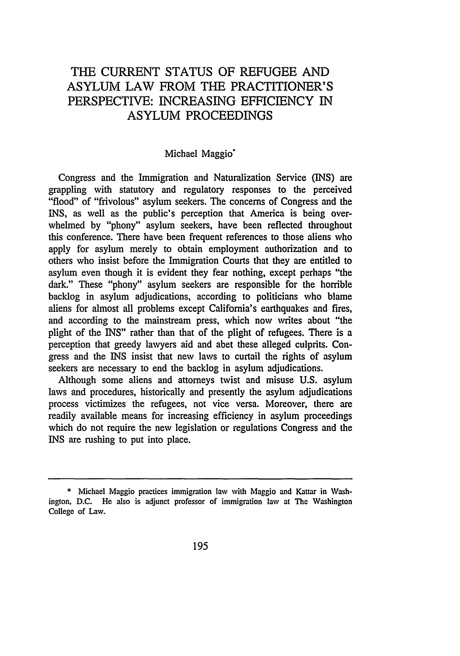## THE CURRENT STATUS OF REFUGEE AND ASYLUM LAW FROM THE PRACTITIONER'S PERSPECTIVE: INCREASING EFFICIENCY IN ASYLUM PROCEEDINGS

## Michael Maggio<sup>\*</sup>

Congress and the Immigration and Naturalization Service (INS) are grappling with statutory and regulatory responses to the perceived "flood" of "frivolous" asylum seekers. The concerns of Congress and the INS, as well as the public's perception that America is being overwhelmed by "phony" asylum seekers, have been reflected throughout this conference. There have been frequent references to those aliens who apply for asylum merely to obtain employment authorization and to others who insist before the Immigration Courts that they are entitled to asylum even though it is evident they fear nothing, except perhaps "the dark." These "phony" asylum seekers are responsible for the horrible backlog in asylum adjudications, according to politicians who blame aliens for almost all problems except California's earthquakes and fires, and according to the mainstream press, which now writes about "the plight of the INS" rather than that of the plight of refugees. There is a perception that greedy lawyers aid and abet these alleged culprits. Congress and the INS insist that new laws to curtail the rights of asylum seekers are necessary to end the backlog in asylum adjudications.

Although some aliens and attorneys twist and misuse U.S. asylum laws and procedures, historically and presently the asylum adjudications process victimizes the refugees, not vice versa. Moreover, there are readily available means for increasing efficiency in asylum proceedings which do not require the new legislation or regulations Congress and the INS are rushing to put into place.

**<sup>\*</sup>** Michael Maggio practices immigration law with Maggio and Kattar in Washington, D.C. He also is adjunct professor of immigration law at The Washington College of Law.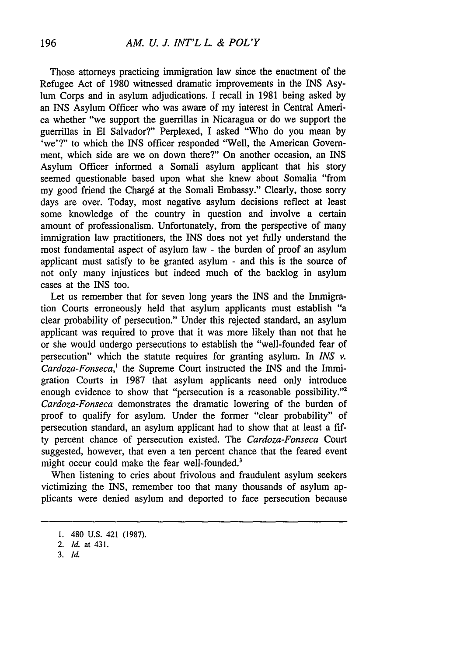#### *AM. U. J. INT'L L. & POL'Y*

Those attorneys practicing immigration law since the enactment of the Refugee Act of 1980 witnessed dramatic improvements in the INS Asylum Corps and in asylum adjudications. I recall in 1981 being asked by an INS Asylum Officer who was aware of my interest in Central America whether "we support the guerrillas in Nicaragua or do we support the guerrillas in El Salvador?" Perplexed, I asked "Who do you mean by 'we'?" to which the INS officer responded "Well, the American Government, which side are we on down there?" On another occasion, an INS Asylum Officer informed a Somali asylum applicant that his story seemed questionable based upon what she knew about Somalia "from my good friend the Charg6 at the Somali Embassy." Clearly, those sorry days are over. Today, most negative asylum decisions reflect at least some knowledge of the country in question and involve a certain amount of professionalism. Unfortunately, from the perspective of many immigration law practitioners, the INS does not yet fully understand the most fundamental aspect of asylum law - the burden of proof an asylum applicant must satisfy to be granted asylum - and this is the source of not only many injustices but indeed much of the backlog in asylum cases at the INS too.

Let us remember that for seven long years the INS and the Immigration Courts erroneously held that asylum applicants must establish "a clear probability of persecution." Under this rejected standard, an asylum applicant was required to prove that it was more likely than not that he or she would undergo persecutions to establish the "well-founded fear of persecution" which the statute requires for granting asylum. In *INS* v. *Cardoza-Fonseca,'* the Supreme Court instructed the INS and the Immigration Courts in 1987 that asylum applicants need only introduce enough evidence to show that "persecution is a reasonable possibility."<sup>2</sup> *Cardoza-Fonseca* demonstrates the dramatic lowering of the burden of proof to qualify for asylum. Under the former "clear probability" of persecution standard, an asylum applicant had to show that at least a fifty percent chance of persecution existed. The *Cardoza-Fonseca* Court suggested, however, that even a ten percent chance that the feared event might occur could make the fear well-founded.<sup>3</sup>

When listening to cries about frivolous and fraudulent asylum seekers victimizing the INS, remember too that many thousands of asylum applicants were denied asylum and deported to face persecution because

**<sup>1.</sup>** 480 U.S. 421 (1987).

*<sup>2.</sup> Id.* at 431.

*<sup>3.</sup> Id.*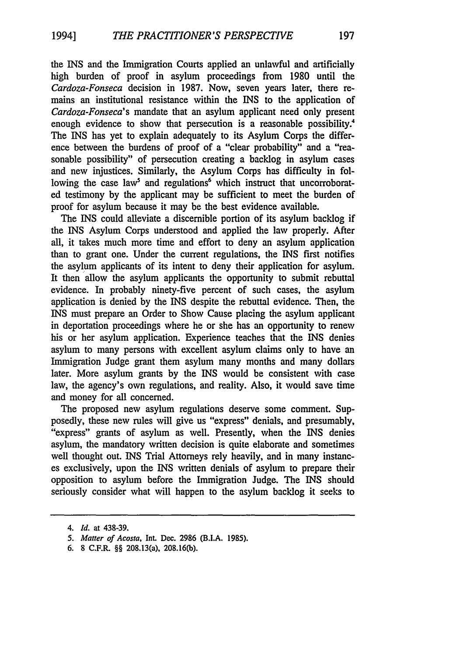the INS and the Immigration Courts applied an unlawful and artificially high burden of proof in asylum proceedings from 1980 until the *Cardoza-Fonseca* decision in 1987. Now, seven years later, there remains an institutional resistance within the INS to the application of *Cardoza-Fonseca's* mandate that an asylum applicant need only present enough evidence to show that persecution is a reasonable possibility.<sup>4</sup> The INS has yet to explain adequately to its Asylum Corps the difference between the burdens of proof of a "clear probability" and a "reasonable possibility" of persecution creating a backlog in asylum cases and new injustices. Similarly, the Asylum Corps has difficulty in following the case law<sup>5</sup> and regulations<sup>6</sup> which instruct that uncorroborated testimony by the applicant may be sufficient to meet the burden of proof for asylum because it may be the best evidence available.

The INS could alleviate a discernible portion of its asylum backlog if the INS Asylum Corps understood and applied the law properly. After all, it takes much more time and effort to deny an asylum application than to grant one. Under the current regulations, the INS first notifies the asylum applicants of its intent to deny their application for asylum. It then allow the asylum applicants the opportunity to submit rebuttal evidence. In probably ninety-five percent of such cases, the asylum application is denied by the INS despite the rebuttal evidence. Then, the INS must prepare an Order to Show Cause placing the asylum applicant in deportation proceedings where he or she has an opportunity to renew his or her asylum application. Experience teaches that the INS denies asylum to many persons with excellent asylum claims only to have an Immigration Judge grant them asylum many months and many dollars later. More asylum grants by the INS would be consistent with case law, the agency's own regulations, and reality. Also, it would save time and money for all concerned.

The proposed new asylum regulations deserve some comment. Supposedly, these new rules will give us "express" denials, and presumably, "express" grants of asylum as well. Presently, when the INS denies asylum, the mandatory written decision is quite elaborate and sometimes well thought out. INS Trial Attorneys rely heavily, and in many instances exclusively, upon the INS written denials of asylum to prepare their opposition to asylum before the Immigration Judge. The INS should seriously consider what will happen to the asylum backlog it seeks to

*<sup>4.</sup> Id.* at 438-39.

*<sup>5.</sup> Matter of Acosta,* Int. Dec. 2986 (B.I.A. 1985).

**<sup>6.</sup>** 8 C.F.R. §§ 208.13(a), 208.16(b).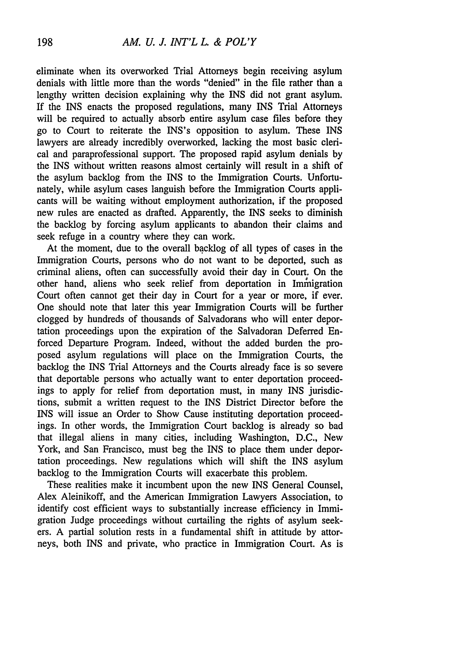eliminate when its overworked Trial Attorneys begin receiving asylum denials with little more than the words "denied" in the file rather than a lengthy written decision explaining why the INS did not grant asylum. If the INS enacts the proposed regulations, many INS Trial Attorneys will be required to actually absorb entire asylum case files before they go to Court to reiterate the INS's opposition to asylum. These INS lawyers are already incredibly overworked, lacking the most basic clerical and paraprofessional support. The proposed rapid asylum denials by the INS without written reasons almost certainly will result in a shift of the asylum backlog from the INS to the Immigration Courts. Unfortunately, while asylum cases languish before the Immigration Courts applicants will be waiting without employment authorization, if the proposed new rules are enacted as drafted. Apparently, the INS seeks to diminish the backlog by forcing asylum applicants to abandon their claims and seek refuge in a country where they can work.

At the moment, due to the overall backlog of all types of cases in the Immigration Courts, persons who do not want to be deported, such as criminal aliens, often can successfully avoid their day in Court. On the other hand, aliens who seek relief from deportation in Immigration Court often cannot get their day in Court for a year or more, if ever. One should note that later this year Immigration Courts will be further clogged by hundreds of thousands of Salvadorans who will enter deportation proceedings upon the expiration of the Salvadoran Deferred Enforced Departure Program. Indeed, without the added burden the proposed asylum regulations will place on the Immigration Courts, the backlog the INS Trial Attorneys and the Courts already face is so severe that deportable persons who actually want to enter deportation proceedings to apply for relief from deportation must, in many INS jurisdictions, submit a written request to the INS District Director before the INS will issue an Order to Show Cause instituting deportation proceedings. In other words, the Immigration Court backlog is already so bad that illegal aliens in many cities, including Washington, D.C., New York, and San Francisco, must beg the INS to place them under deportation proceedings. New regulations which will shift the INS asylum backlog to the Immigration Courts will exacerbate this problem.

These realities make it incumbent upon the new INS General Counsel, Alex Aleinikoff, and the American Immigration Lawyers Association, to identify cost efficient ways to substantially increase efficiency in Immigration Judge proceedings without curtailing the rights of asylum seekers. A partial solution rests in a fundamental shift in attitude by attorneys, both INS and private, who practice in Immigration Court. As is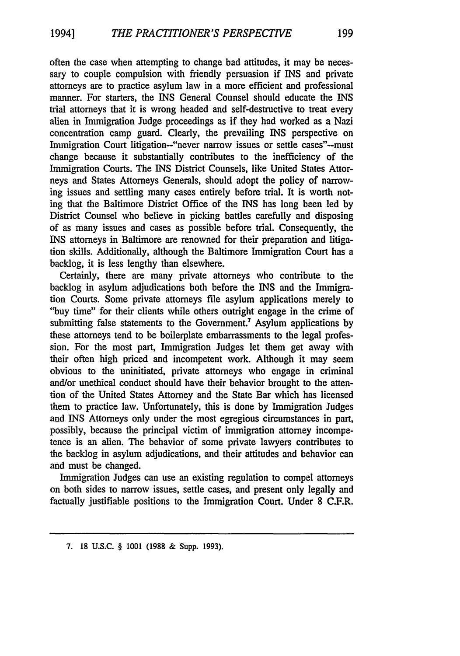often the case when attempting to change bad attitudes, it may be necessary to couple compulsion with friendly persuasion if INS and private attorneys are to practice asylum law in a more efficient and professional manner. For starters, the INS General Counsel should educate the INS trial attorneys that it is wrong headed and self-destructive to treat every alien in Immigration Judge proceedings as if they had worked as a Nazi concentration camp guard. Clearly, the prevailing INS perspective on Immigration Court litigation-"never narrow issues or settle cases"-must change because it substantially contributes to the inefficiency of the Immigration Courts. The INS District Counsels, like United States Attorneys and States Attorneys Generals, should adopt the policy of narrowing issues and settling many cases entirely before trial. It is worth noting that the Baltimore District Office of the INS has long been led by District Counsel who believe in picking battles carefully and disposing of as many issues and cases as possible before trial. Consequently, the INS attorneys in Baltimore are renowned for their preparation and litigation skills. Additionally, although the Baltimore Immigration Court has a backlog, it is less lengthy than elsewhere.

Certainly, there are many private attorneys who contribute to the backlog in asylum adjudications both before the INS and the Immigration Courts. Some private attorneys file asylum applications merely to "buy time" for their clients while others outright engage in the crime of submitting false statements to the Government.<sup>7</sup> Asylum applications by these attorneys tend to be boilerplate embarrassments to the legal profession. For the most part, Immigration Judges let them get away with their often high priced and incompetent work. Although it may seem obvious to the uninitiated, private attorneys who engage in criminal and/or unethical conduct should have their behavior brought to the attention of the United States Attorney and the State Bar which has licensed them to practice law. Unfortunately, this is done by Immigration Judges and INS Attorneys only under the most egregious circumstances in part, possibly, because the principal victim of immigration attorney incompetence is an alien. The behavior of some private lawyers contributes to the backlog in asylum adjudications, and their attitudes and behavior can and must be changed.

Immigration Judges can use an existing regulation to compel attorneys on both sides to narrow issues, settle cases, and present only legally and factually justifiable positions to the Immigration Court. Under 8 C.F.R.

**<sup>7. 18</sup>** U.S.C. § **1001 (1988 &** Supp. **1993).**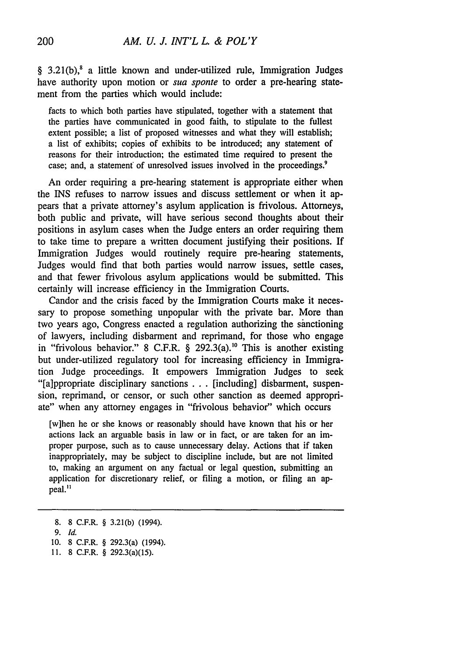§ 3.21(b), a little known and under-utilized rule, Immigration Judges have authority upon motion or *sua sponte* to order a pre-hearing statement from the parties which would include:

facts to which both parties have stipulated, together with a statement that the parties have communicated in good faith, to stipulate to the fullest extent possible; a list of proposed witnesses and what they will establish; a list of exhibits; copies of exhibits to be introduced; any statement of reasons for their introduction; the estimated time required to present the case; and, a statement of unresolved issues involved in the proceedings.'

An order requiring a pre-hearing statement is appropriate either when the INS refuses to narrow issues and discuss settlement or when it appears that a private attorney's asylum application is frivolous. Attorneys, both public and private, will have serious second thoughts about their positions in asylum cases when the Judge enters an order requiring them to take time to prepare a written document justifying their positions. If Immigration Judges would routinely require pre-hearing statements, Judges would find that both parties would narrow issues, settle cases, and that fewer frivolous asylum applications would be submitted. This certainly will increase efficiency in the Immigration Courts.

Candor and the crisis faced by the Immigration Courts make it necessary to propose something unpopular with the private bar. More than two years ago, Congress enacted a regulation authorizing the sanctioning of lawyers, including disbarment and reprimand, for those who engage in "frivolous behavior." 8 C.F.R. § 292.3(a).<sup>10</sup> This is another existing but under-utilized regulatory tool for increasing efficiency in Immigration Judge proceedings. It empowers Immigration Judges to seek "[a]ppropriate disciplinary sanctions ...[including] disbarment, suspension, reprimand, or censor, or such other sanction as deemed appropriate" when any attorney engages in "frivolous behavior" which occurs

[w]hen he or she knows or reasonably should have known that his or her actions lack an arguable basis in law or in fact, or are taken for an improper purpose, such as to cause unnecessary delay. Actions that if taken inappropriately, may be subject to discipline include, but are not limited to, making an argument on any factual or legal question, submitting an application for discretionary relief, or filing a motion, or filing an appeal."

<sup>8. 8</sup> C.F.R. § 3.21(b) (1994).

*<sup>9.</sup> Id.*

**<sup>10.</sup>** 8 C.F.R. § 292.3(a) (1994).

<sup>11. 8</sup> C.F.R. § 292.3(a)(15).